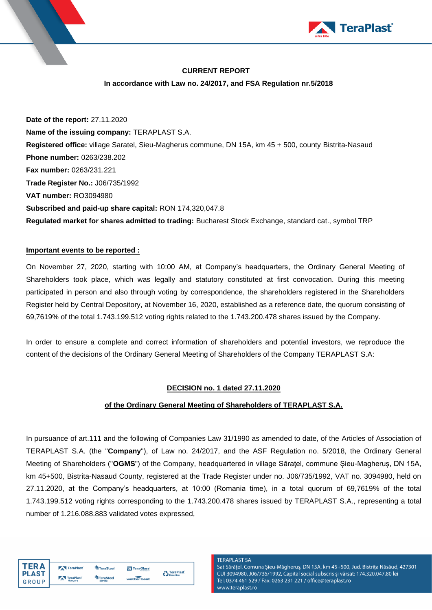

## **CURRENT REPORT**

### **In accordance with Law no. 24/2017, and FSA Regulation nr.5/2018**

**Date of the report:** 27.11.2020 **Name of the issuing company:** TERAPLAST S.A. **Registered office:** village Saratel, Sieu-Magherus commune, DN 15A, km 45 + 500, county Bistrita-Nasaud **Phone number:** 0263/238.202 **Fax number:** 0263/231.221 **Trade Register No.:** J06/735/1992 **VAT number:** RO3094980 **Subscribed and paid-up share capital:** RON 174,320,047.8 **Regulated market for shares admitted to trading:** Bucharest Stock Exchange, standard cat., symbol TRP

## **Important events to be reported :**

On November 27, 2020, starting with 10:00 AM, at Company's headquarters, the Ordinary General Meeting of Shareholders took place, which was legally and statutory constituted at first convocation. During this meeting participated in person and also through voting by correspondence, the shareholders registered in the Shareholders Register held by Central Depository, at November 16, 2020, established as a reference date, the quorum consisting of 69,7619% of the total 1.743.199.512 voting rights related to the 1.743.200.478 shares issued by the Company.

In order to ensure a complete and correct information of shareholders and potential investors, we reproduce the content of the decisions of the Ordinary General Meeting of Shareholders of the Company TERAPLAST S.A:

### **DECISION no. 1 dated 27.11.2020**

### **of the Ordinary General Meeting of Shareholders of TERAPLAST S.A.**

In pursuance of art.111 and the following of Companies Law 31/1990 as amended to date, of the Articles of Association of TERAPLAST S.A. (the "**Company**"), of Law no. 24/2017, and the ASF Regulation no. 5/2018, the Ordinary General Meeting of Shareholders ("**OGMS**") of the Company, headquartered in village Săraţel, commune Șieu-Magheruș, DN 15A, km 45+500, Bistrita-Nasaud County, registered at the Trade Register under no. J06/735/1992, VAT no. 3094980, held on 27.11.2020, at the Company's headquarters, at 10:00 (Romania time), in a total quorum of 69,7619% of the total 1.743.199.512 voting rights corresponding to the 1.743.200.478 shares issued by TERAPLAST S.A., representing a total number of 1.216.088.883 validated votes expressed,



#### **TERAPLAST SA**

Sat Sărățel, Comuna Șieu-Măgheruș, DN 15A, km 45+500, Jud. Bistrița Năsăud, 427301 CUI 3094980, J06/735/1992, Capital social subscris și vărsat: 174.320.047,80 lei Tel: 0374 461 529 / Fax: 0263 231 221 / office@teraplast.ro www.teraplast.ro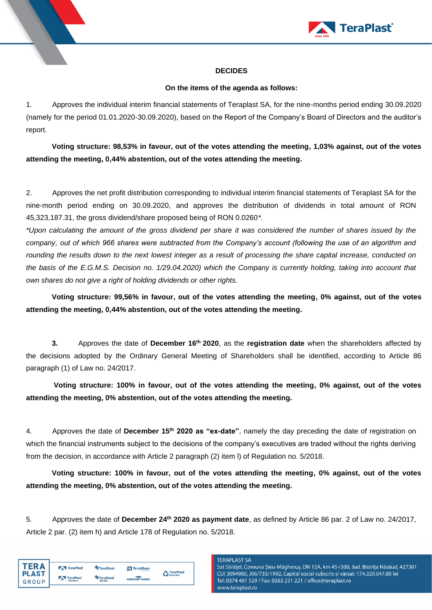

# **DECIDES**

# **On the items of the agenda as follows:**

1. Approves the individual interim financial statements of Teraplast SA, for the nine-months period ending 30.09.2020 (namely for the period 01.01.2020-30.09.2020), based on the Report of the Company's Board of Directors and the auditor's report.

**Voting structure: 98,53% in favour, out of the votes attending the meeting, 1,03% against, out of the votes attending the meeting, 0,44% abstention, out of the votes attending the meeting.**

2. Approves the net profit distribution corresponding to individual interim financial statements of Teraplast SA for the nine-month period ending on 30.09.2020, and approves the distribution of dividends in total amount of RON 45,323,187.31, the gross dividend/share proposed being of RON 0.0260*\**.

*\*Upon calculating the amount of the gross dividend per share it was considered the number of shares issued by the company, out of which 966 shares were subtracted from the Company's account (following the use of an algorithm and rounding the results down to the next lowest integer as a result of processing the share capital increase, conducted on the basis of the E.G.M.S. Decision no. 1/29.04.2020) which the Company is currently holding, taking into account that own shares do not give a right of holding dividends or other rights.*

**Voting structure: 99,56% in favour, out of the votes attending the meeting, 0% against, out of the votes attending the meeting, 0,44% abstention, out of the votes attending the meeting.**

**3.** Approves the date of **December 16th 2020**, as the **registration date** when the shareholders affected by the decisions adopted by the Ordinary General Meeting of Shareholders shall be identified, according to Article 86 paragraph (1) of Law no. 24/2017.

**Voting structure: 100% in favour, out of the votes attending the meeting, 0% against, out of the votes attending the meeting, 0% abstention, out of the votes attending the meeting.**

4. Approves the date of **December 15th 2020 as "ex-date"**, namely the day preceding the date of registration on which the financial instruments subject to the decisions of the company's executives are traded without the rights deriving from the decision, in accordance with Article 2 paragraph (2) item l) of Regulation no. 5/2018.

**Voting structure: 100% in favour, out of the votes attending the meeting, 0% against, out of the votes attending the meeting, 0% abstention, out of the votes attending the meeting.**

5. Approves the date of **December 24th 2020 as payment date**, as defined by Article 86 par. 2 of Law no. 24/2017, Article 2 par. (2) item h) and Article 178 of Regulation no. 5/2018.

| ΈD Δ         | TeraPlast | TeraSteel     | <b>N</b> TeraGlass | <b>A</b> TeraPlast |
|--------------|-----------|---------------|--------------------|--------------------|
| <b>PLAST</b> | TeraPlast | TeraSteel     |                    | Recycling          |
| GROUP        | Hungary   | <b>Serbia</b> | wetterbest         |                    |

### **TERAPLAST SA**

Sat Sărățel, Comuna Șieu-Măgheruș, DN 15A, km 45+500, Jud. Bistrița Năsăud, 427301 CUI 3094980, J06/735/1992, Capital social subscris și vărsat: 174.320.047,80 lei Tel: 0374 461 529 / Fax: 0263 231 221 / office@teraplast.ro www.teraplast.ro